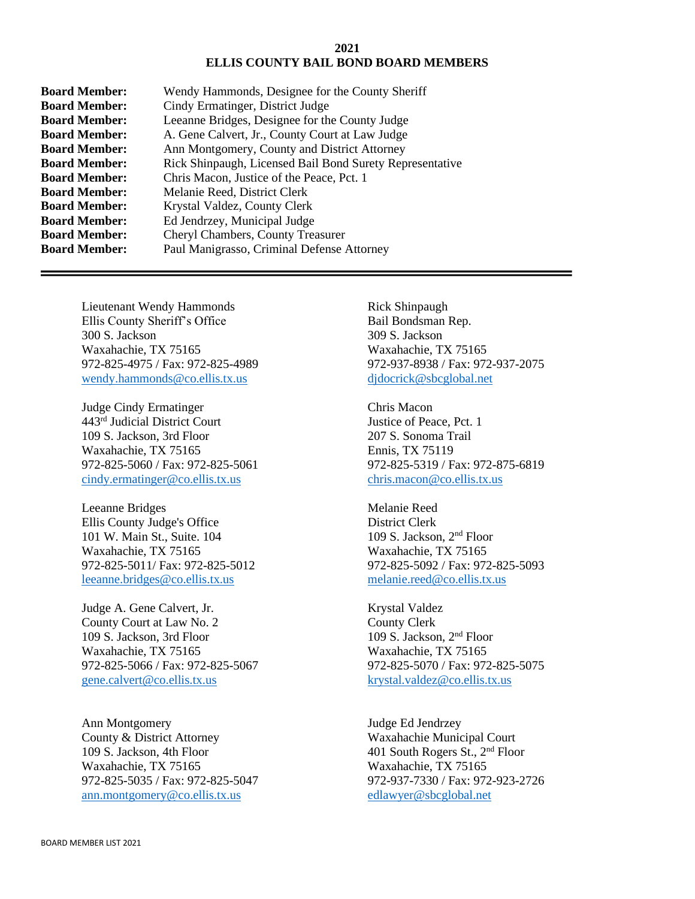## **2021 ELLIS COUNTY BAIL BOND BOARD MEMBERS**

| <b>Board Member:</b> | Wendy Hammonds, Designee for the County Sheriff          |
|----------------------|----------------------------------------------------------|
| <b>Board Member:</b> | Cindy Ermatinger, District Judge                         |
| <b>Board Member:</b> | Leeanne Bridges, Designee for the County Judge           |
| <b>Board Member:</b> | A. Gene Calvert, Jr., County Court at Law Judge          |
| <b>Board Member:</b> | Ann Montgomery, County and District Attorney             |
| <b>Board Member:</b> | Rick Shinpaugh, Licensed Bail Bond Surety Representative |
| <b>Board Member:</b> | Chris Macon, Justice of the Peace, Pct. 1                |
| <b>Board Member:</b> | Melanie Reed, District Clerk                             |
| <b>Board Member:</b> | Krystal Valdez, County Clerk                             |
| <b>Board Member:</b> | Ed Jendrzey, Municipal Judge                             |
| <b>Board Member:</b> | Cheryl Chambers, County Treasurer                        |
| <b>Board Member:</b> | Paul Manigrasso, Criminal Defense Attorney               |
|                      |                                                          |

Lieutenant Wendy Hammonds Ellis County Sheriff's Office 300 S. Jackson Waxahachie, TX 75165 972-825-4975 / Fax: 972-825-4989 [wendy.hammonds@co.ellis.tx.us](mailto:wendy.hammonds@co.ellis.tx.us)

Judge Cindy Ermatinger 443rd Judicial District Court 109 S. Jackson, 3rd Floor Waxahachie, TX 75165 972-825-5060 / Fax: 972-825-5061 [cindy.ermatinger@co.ellis.tx.us](mailto:cindy.ermatinger@co.ellis.tx.us)

Leeanne Bridges Ellis County Judge's Office 101 W. Main St., Suite. 104 Waxahachie, TX 75165 972-825-5011/ Fax: 972-825-5012 [leeanne.bridges@co.ellis.tx.us](mailto:leeanne.bridges@co.ellis.tx.us)

Judge A. Gene Calvert, Jr. County Court at Law No. 2 109 S. Jackson, 3rd Floor Waxahachie, TX 75165 972-825-5066 / Fax: 972-825-5067 [gene.calvert@co.ellis.tx.us](mailto:gene.calvert@co.ellis.tx.us)

Ann Montgomery County & District Attorney 109 S. Jackson, 4th Floor Waxahachie, TX 75165 972-825-5035 / Fax: 972-825-5047 [ann.montgomery@co.ellis.tx.us](mailto:ann.montgomery@co.ellis.tx.us)

Rick Shinpaugh Bail Bondsman Rep. 309 S. Jackson Waxahachie, TX 75165 972-937-8938 / Fax: 972-937-2075 [djdocrick@sbcglobal.net](mailto:djdocrick@sbcglobal.net)

Chris Macon Justice of Peace, Pct. 1 207 S. Sonoma Trail Ennis, TX 75119 972-825-5319 / Fax: 972-875-6819 [chris.macon@co.ellis.tx.us](mailto:chris.macon@co.ellis.tx.us)

Melanie Reed District Clerk 109 S. Jackson, 2nd Floor Waxahachie, TX 75165 972-825-5092 / Fax: 972-825-5093 [melanie.reed@co.ellis.tx.us](mailto:melanie.reed@co.ellis.tx.us)

Krystal Valdez County Clerk 109 S. Jackson, 2nd Floor Waxahachie, TX 75165 972-825-5070 / Fax: 972-825-5075 [krystal.valdez@co.ellis.tx.us](mailto:krystal.valdez@co.ellis.tx.us)

Judge Ed Jendrzey Waxahachie Municipal Court 401 South Rogers St., 2nd Floor Waxahachie, TX 75165 972-937-7330 / Fax: 972-923-2726 [edlawyer@sbcglobal.net](mailto:edlawyer@sbcglobal.net)